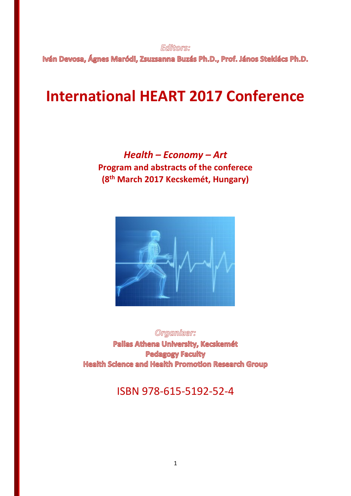**Editors**:

Iván Devosa, Ágnes Maródi, Zsuzsanna Buzás Ph.D., Prof. János Steklács Ph.D.

# **International HEART 2017 Conference**

*Health – Economy – Art* **Program and abstracts of the conferece (8th March 2017 Kecskemét, Hungary)**



Organizer: Pallas Athena University, Kecskemét **Pedagogy Faculty** Health Science and Health Promotion Research Group

ISBN 978-615-5192-52-4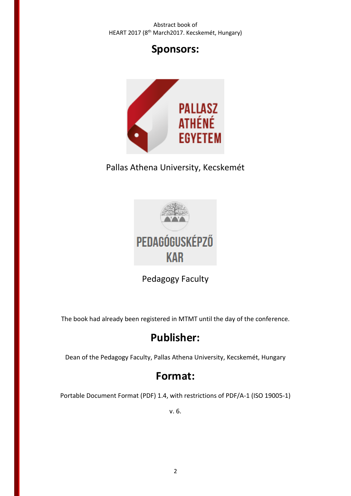## **Sponsors:**



Pallas Athena University, Kecskemét



Pedagogy Faculty

The book had already been registered in MTMT until the day of the conference.

# **Publisher:**

Dean of the Pedagogy Faculty, Pallas Athena University, Kecskemét, Hungary

## **Format:**

Portable Document Format (PDF) 1.4, with restrictions of PDF/A-1 (ISO 19005-1)

v. 6.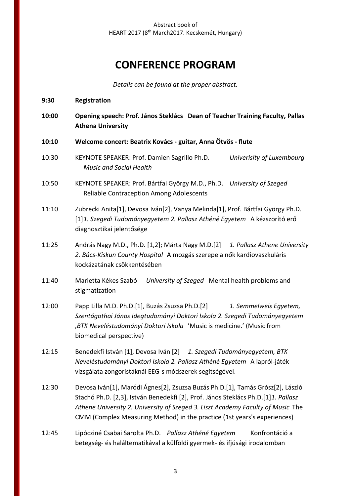## **CONFERENCE PROGRAM**

*Details can be found at the proper abstract.*

- **9:30 Registration**
- **10:00 Opening speech: Prof. János Steklács Dean of Teacher Training Faculty, Pallas Athena University**
- **10:10 Welcome concert: Beatrix Kovács - guitar, Anna Ötvös - flute**
- 10:30 KEYNOTE SPEAKER: Prof. Damien Sagrillo Ph.D. *Univerisity of Luxembourg Music and Social Health*
- 10:50 KEYNOTE SPEAKER: Prof. Bártfai György M.D., Ph.D. *University of Szeged* Reliable Contraception Among Adolescents
- 11:10 Zubrecki Anita[1], Devosa Iván[2], Vanya Melinda[1], Prof. Bártfai György Ph.D. [1]*1. Szegedi Tudományegyetem 2. Pallasz Athéné Egyetem* A kézszorító erő diagnosztikai jelentősége
- 11:25 András Nagy M.D., Ph.D. [1,2]; Márta Nagy M.D.[2] *1. Pallasz Athene University 2. Bács-Kiskun County Hospital* A mozgás szerepe a nők kardiovaszkuláris kockázatának csökkentésében
- 11:40 Marietta Kékes Szabó *University of Szeged* Mental health problems and stigmatization
- 12:00 Papp Lilla M.D. Ph.D.[1], Buzás Zsuzsa Ph.D.[2] *1. Semmelweis Egyetem, Szentágothai János Idegtudományi Doktori Iskola 2. Szegedi Tudományegyetem ,BTK Neveléstudományi Doktori Iskola* 'Music is medicine.' (Music from biomedical perspective)
- 12:15 Benedekfi István [1], Devosa Iván [2] *1. Szegedi Tudományegyetem, BTK Neveléstudományi Doktori Iskola 2. Pallasz Athéné Egyetem* A lapról-játék vizsgálata zongoristáknál EEG-s módszerek segítségével.
- 12:30 Devosa Iván[1], Maródi Ágnes[2], Zsuzsa Buzás Ph.D.[1], Tamás Grósz[2], László Stachó Ph.D. [2,3], István Benedekfi [2], Prof. János Steklács Ph.D.[1]*1. Pallasz Athene University 2. University of Szeged 3. Liszt Academy Faculty of Music* The CMM (Complex Measuring Method) in the practice (1st years's experiences)
- 12:45 Lipócziné Csabai Sarolta Ph.D. *Pallasz Athéné Egyetem* Konfrontáció a betegség- és haláltematikával a külföldi gyermek- és ifjúsági irodalomban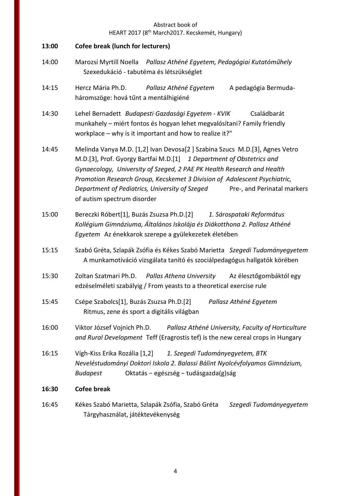| 13:00 | <b>Cofee break (lunch for lecturers)</b>                                                                                                                                                                                                                                                                                                                                                                                  |
|-------|---------------------------------------------------------------------------------------------------------------------------------------------------------------------------------------------------------------------------------------------------------------------------------------------------------------------------------------------------------------------------------------------------------------------------|
| 14:00 | Marozsi Myrtill Noella Pallasz Athéné Egyetem, Pedagógiai Kutatóműhely<br>Szexedukáció - tabutéma és létszükséglet                                                                                                                                                                                                                                                                                                        |
| 14:15 | Hercz Mária Ph.D.<br>Pallasz Athéné Egyetem<br>A pedagógia Bermuda-<br>háromszöge: hová tűnt a mentálhigiéné                                                                                                                                                                                                                                                                                                              |
| 14:30 | Lehel Bernadett Budapesti Gazdasági Egyetem - KVIK<br>Családbarát<br>munkahely - miért fontos és hogyan lehet megvalósítani? Family friendly<br>workplace - why is it important and how to realize it?"                                                                                                                                                                                                                   |
| 14:45 | Melinda Vanya M.D. [1,2] Ivan Devosa[2] Szabina Szucs M.D.[3], Agnes Vetro<br>M.D.[3], Prof. Gyorgy Bartfai M.D.[1] 1 Department of Obstetrics and<br>Gynaecology, University of Szeged, 2 PAE PK Health Research and Health<br>Promotion Research Group, Kecskemet 3 Division of Adolescent Psychiatric,<br>Department of Pediatrics, University of Szeged<br>Pre-, and Perinatal markers<br>of autism spectrum disorder |
| 15:00 | Bereczki Róbert[1], Buzás Zsuzsa Ph.D.[2] 1. Sárospataki Református<br>Kollégium Gimnáziuma, Általános Iskolája és Diákotthona 2. Pallasz Athéné<br>Egyetem Az énekkarok szerepe a gyülekezetek életében                                                                                                                                                                                                                  |
| 15:15 | Szabó Gréta, Szlapák Zsófia és Kékes Szabó Marietta Szegedi Tudományegyetem<br>A munkamotiváció vizsgálata tanító és szociálpedagógus hallgatók körében                                                                                                                                                                                                                                                                   |
| 15:30 | Zoltan Szatmari Ph.D. Pallas Athena University<br>Az élesztőgombáktól egy<br>edzéselméleti szabályig / From yeasts to a theoretical exercise rule                                                                                                                                                                                                                                                                         |
| 15:45 | Csépe Szabolcs[1], Buzás Zsuzsa Ph.D.[2]<br>Pallasz Athéné Egyetem<br>Ritmus, zene és sport a digitális világban                                                                                                                                                                                                                                                                                                          |
| 16:00 | Viktor József Vojnich Ph.D.<br>Pallasz Athéné University, Faculty of Horticulture<br>and Rural Development Teff (Eragrostis tef) is the new cereal crops in Hungary                                                                                                                                                                                                                                                       |
| 16:15 | Vígh-Kiss Erika Rozália [1,2]<br>1. Szegedi Tudományegyetem, BTK<br>Neveléstudományi Doktori Iskola 2. Balassi Bálint Nyolcévfolyamos Gimnázium,<br>Oktatás – egészség – tudásgazda(g)ság<br><b>Budapest</b>                                                                                                                                                                                                              |
| 16:30 | <b>Cofee break</b>                                                                                                                                                                                                                                                                                                                                                                                                        |
| 16:45 | Kékes Szabó Marietta, Szlapák Zsófia, Szabó Gréta<br>Szegedi Tudományegyetem<br>Tárgyhasználat, játéktevékenység                                                                                                                                                                                                                                                                                                          |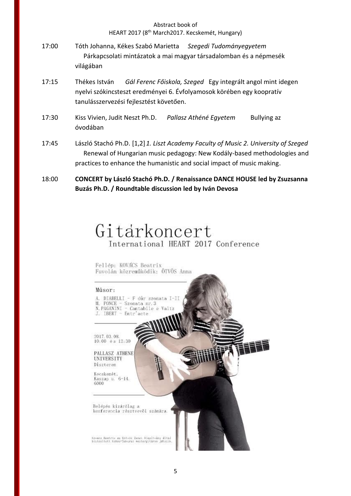- 17:00 Tóth Johanna, Kékes Szabó Marietta *Szegedi Tudományegyetem* Párkapcsolati mintázatok a mai magyar társadalomban és a népmesék világában
- 17:15 Thékes István *Gál Ferenc Főiskola, Szeged* Egy integrált angol mint idegen nyelvi szókincsteszt eredményei 6. Évfolyamosok körében egy koopratív tanulásszervezési fejlesztést követően.
- 17:30 Kiss Vivien, Judit Neszt Ph.D. *Pallasz Athéné Egyetem* Bullying az óvodában
- 17:45 László Stachó Ph.D. [1,2]*1. Liszt Academy Faculty of Music 2. University of Szeged* Renewal of Hungarian music pedagogy: New Kodály-based methodologies and practices to enhance the humanistic and social impact of music making.
- 18:00 **CONCERT by László Stachó Ph.D. / Renaissance DANCE HOUSE led by Zsuzsanna Buzás Ph.D. / Roundtable discussion led by Iván Devosa**

# Gitarkoncert International HEART 2017 Conference

Fellép: KOVACS Beatrix Fuvolán közreműködik: ÖTVÖS Anna